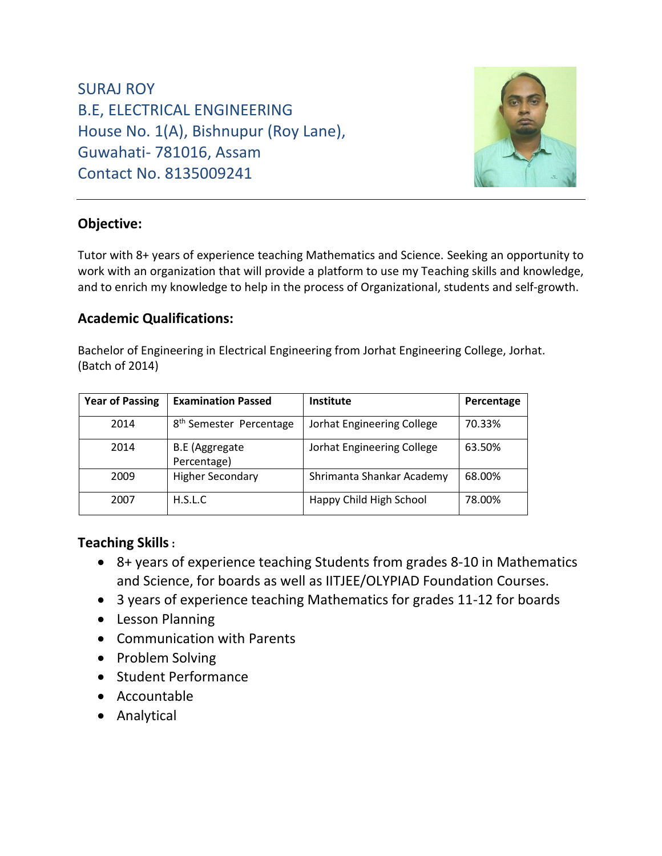SURAJ ROY B.E, ELECTRICAL ENGINEERING House No. 1(A), Bishnupur (Roy Lane), Guwahati- 781016, Assam Contact No. 8135009241



# **Objective:**

Tutor with 8+ years of experience teaching Mathematics and Science. Seeking an opportunity to work with an organization that will provide a platform to use my Teaching skills and knowledge, and to enrich my knowledge to help in the process of Organizational, students and self-growth.

## **Academic Qualifications:**

Bachelor of Engineering in Electrical Engineering from Jorhat Engineering College, Jorhat. (Batch of 2014)

| <b>Year of Passing</b> | <b>Examination Passed</b>            | <b>Institute</b>           | Percentage |
|------------------------|--------------------------------------|----------------------------|------------|
| 2014                   | 8 <sup>th</sup> Semester Percentage  | Jorhat Engineering College | 70.33%     |
| 2014                   | <b>B.E</b> (Aggregate<br>Percentage) | Jorhat Engineering College | 63.50%     |
| 2009                   | <b>Higher Secondary</b>              | Shrimanta Shankar Academy  | 68.00%     |
| 2007                   | H.S.L.C.                             | Happy Child High School    | 78.00%     |

## **Teaching Skills:**

- 8+ years of experience teaching Students from grades 8-10 in Mathematics and Science, for boards as well as IITJEE/OLYPIAD Foundation Courses.
- 3 years of experience teaching Mathematics for grades 11-12 for boards
- Lesson Planning
- Communication with Parents
- Problem Solving
- Student Performance
- Accountable
- Analytical